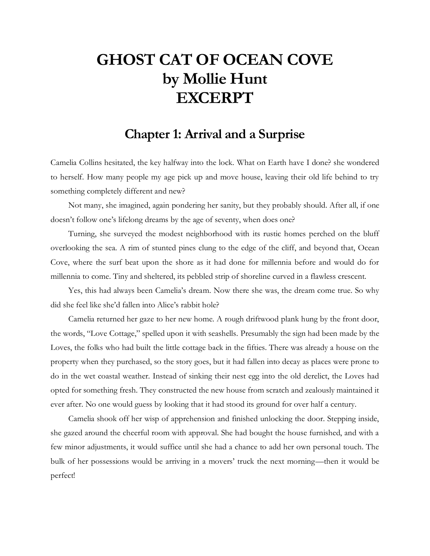## **GHOST CAT OF OCEAN COVE by Mollie Hunt EXCERPT**

## **Chapter 1: Arrival and a Surprise**

Camelia Collins hesitated, the key halfway into the lock. What on Earth have I done? she wondered to herself. How many people my age pick up and move house, leaving their old life behind to try something completely different and new?

Not many, she imagined, again pondering her sanity, but they probably should. After all, if one doesn't follow one's lifelong dreams by the age of seventy, when does one?

Turning, she surveyed the modest neighborhood with its rustic homes perched on the bluff overlooking the sea. A rim of stunted pines clung to the edge of the cliff, and beyond that, Ocean Cove, where the surf beat upon the shore as it had done for millennia before and would do for millennia to come. Tiny and sheltered, its pebbled strip of shoreline curved in a flawless crescent.

Yes, this had always been Camelia's dream. Now there she was, the dream come true. So why did she feel like she'd fallen into Alice's rabbit hole?

Camelia returned her gaze to her new home. A rough driftwood plank hung by the front door, the words, "Love Cottage," spelled upon it with seashells. Presumably the sign had been made by the Loves, the folks who had built the little cottage back in the fifties. There was already a house on the property when they purchased, so the story goes, but it had fallen into decay as places were prone to do in the wet coastal weather. Instead of sinking their nest egg into the old derelict, the Loves had opted for something fresh. They constructed the new house from scratch and zealously maintained it ever after. No one would guess by looking that it had stood its ground for over half a century.

Camelia shook off her wisp of apprehension and finished unlocking the door. Stepping inside, she gazed around the cheerful room with approval. She had bought the house furnished, and with a few minor adjustments, it would suffice until she had a chance to add her own personal touch. The bulk of her possessions would be arriving in a movers' truck the next morning—then it would be perfect!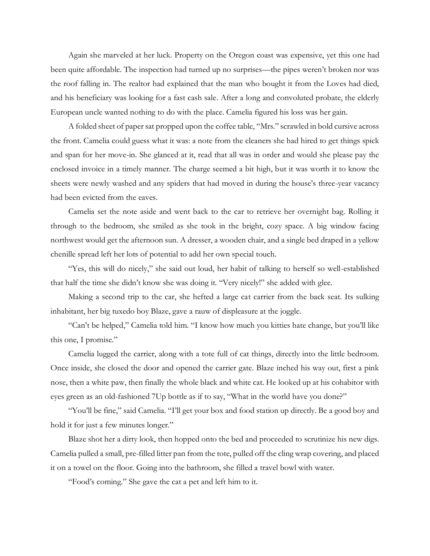Again she marveled at her luck. Property on the Oregon coast was expensive, yet this one had been quite affordable. The inspection had turned up no surprises—the pipes weren't broken nor was the roof falling in. The realtor had explained that the man who bought it from the Loves had died, and his beneficiary was looking for a fast cash sale. After a long and convoluted probate, the elderly European uncle wanted nothing to do with the place. Camelia figured his loss was her gain.

A folded sheet of paper sat propped upon the coffee table, "Mrs." scrawled in bold cursive across the front. Camelia could guess what it was: a note from the cleaners she had hired to get things spick and span for her move-in. She glanced at it, read that all was in order and would she please pay the enclosed invoice in a timely manner. The charge seemed a bit high, but it was worth it to know the sheets were newly washed and any spiders that had moved in during the house's three-year vacancy had been evicted from the eaves.

Camelia set the note aside and went back to the car to retrieve her overnight bag. Rolling it through to the bedroom, she smiled as she took in the bright, cozy space. A big window facing northwest would get the afternoon sun. A dresser, a wooden chair, and a single bed draped in a yellow chenille spread left her lots of potential to add her own special touch.

"Yes, this will do nicely," she said out loud, her habit of talking to herself so well-established that half the time she didn't know she was doing it. "Very nicely!" she added with glee.

Making a second trip to the car, she hefted a large cat carrier from the back seat. Its sulking inhabitant, her big tuxedo boy Blaze, gave a rauw of displeasure at the joggle.

"Can't be helped," Camelia told him. "I know how much you kitties hate change, but you'll like this one, I promise."

Camelia lugged the carrier, along with a tote full of cat things, directly into the little bedroom. Once inside, she closed the door and opened the carrier gate. Blaze inched his way out, first a pink nose, then a white paw, then finally the whole black and white cat. He looked up at his cohabitor with eyes green as an old-fashioned 7Up bottle as if to say, "What in the world have you done?"

"You'll be fine," said Camelia. "I'll get your box and food station up directly. Be a good boy and hold it for just a few minutes longer."

Blaze shot her a dirty look, then hopped onto the bed and proceeded to scrutinize his new digs. Camelia pulled a small, pre-filled litter pan from the tote, pulled off the cling wrap covering, and placed it on a towel on the floor. Going into the bathroom, she filled a travel bowl with water.

"Food's coming." She gave the cat a pet and left him to it.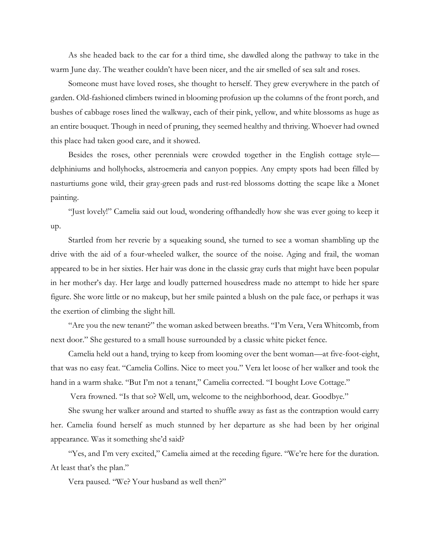As she headed back to the car for a third time, she dawdled along the pathway to take in the warm June day. The weather couldn't have been nicer, and the air smelled of sea salt and roses.

Someone must have loved roses, she thought to herself. They grew everywhere in the patch of garden. Old-fashioned climbers twined in blooming profusion up the columns of the front porch, and bushes of cabbage roses lined the walkway, each of their pink, yellow, and white blossoms as huge as an entire bouquet. Though in need of pruning, they seemed healthy and thriving. Whoever had owned this place had taken good care, and it showed.

Besides the roses, other perennials were crowded together in the English cottage style delphiniums and hollyhocks, alstroemeria and canyon poppies. Any empty spots had been filled by nasturtiums gone wild, their gray-green pads and rust-red blossoms dotting the scape like a Monet painting.

"Just lovely!" Camelia said out loud, wondering offhandedly how she was ever going to keep it up.

Startled from her reverie by a squeaking sound, she turned to see a woman shambling up the drive with the aid of a four-wheeled walker, the source of the noise. Aging and frail, the woman appeared to be in her sixties. Her hair was done in the classic gray curls that might have been popular in her mother's day. Her large and loudly patterned housedress made no attempt to hide her spare figure. She wore little or no makeup, but her smile painted a blush on the pale face, or perhaps it was the exertion of climbing the slight hill.

"Are you the new tenant?" the woman asked between breaths. "I'm Vera, Vera Whitcomb, from next door." She gestured to a small house surrounded by a classic white picket fence.

Camelia held out a hand, trying to keep from looming over the bent woman—at five-foot-eight, that was no easy feat. "Camelia Collins. Nice to meet you." Vera let loose of her walker and took the hand in a warm shake. "But I'm not a tenant," Camelia corrected. "I bought Love Cottage."

Vera frowned. "Is that so? Well, um, welcome to the neighborhood, dear. Goodbye."

She swung her walker around and started to shuffle away as fast as the contraption would carry her. Camelia found herself as much stunned by her departure as she had been by her original appearance. Was it something she'd said?

"Yes, and I'm very excited," Camelia aimed at the receding figure. "We're here for the duration. At least that's the plan."

Vera paused. "We? Your husband as well then?"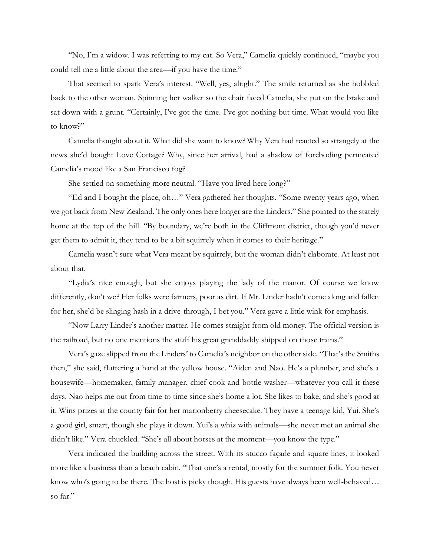"No, I'm a widow. I was referring to my cat. So Vera," Camelia quickly continued, "maybe you could tell me a little about the area—if you have the time."

That seemed to spark Vera's interest. "Well, yes, alright." The smile returned as she hobbled back to the other woman. Spinning her walker so the chair faced Camelia, she put on the brake and sat down with a grunt. "Certainly, I've got the time. I've got nothing but time. What would you like to know?"

Camelia thought about it. What did she want to know? Why Vera had reacted so strangely at the news she'd bought Love Cottage? Why, since her arrival, had a shadow of foreboding permeated Camelia's mood like a San Francisco fog?

She settled on something more neutral. "Have you lived here long?"

"Ed and I bought the place, oh…" Vera gathered her thoughts. "Some twenty years ago, when we got back from New Zealand. The only ones here longer are the Linders." She pointed to the stately home at the top of the hill. "By boundary, we're both in the Cliffmont district, though you'd never get them to admit it, they tend to be a bit squirrely when it comes to their heritage."

Camelia wasn't sure what Vera meant by squirrely, but the woman didn't elaborate. At least not about that.

"Lydia's nice enough, but she enjoys playing the lady of the manor. Of course we know differently, don't we? Her folks were farmers, poor as dirt. If Mr. Linder hadn't come along and fallen for her, she'd be slinging hash in a drive-through, I bet you." Vera gave a little wink for emphasis.

"Now Larry Linder's another matter. He comes straight from old money. The official version is the railroad, but no one mentions the stuff his great granddaddy shipped on those trains."

Vera's gaze slipped from the Linders' to Camelia's neighbor on the other side. "That's the Smiths then," she said, fluttering a hand at the yellow house. "Aiden and Nao. He's a plumber, and she's a housewife—homemaker, family manager, chief cook and bottle washer—whatever you call it these days. Nao helps me out from time to time since she's home a lot. She likes to bake, and she's good at it. Wins prizes at the county fair for her marionberry cheesecake. They have a teenage kid, Yui. She's a good girl, smart, though she plays it down. Yui's a whiz with animals—she never met an animal she didn't like." Vera chuckled. "She's all about horses at the moment—you know the type."

Vera indicated the building across the street. With its stucco façade and square lines, it looked more like a business than a beach cabin. "That one's a rental, mostly for the summer folk. You never know who's going to be there. The host is picky though. His guests have always been well-behaved… so far."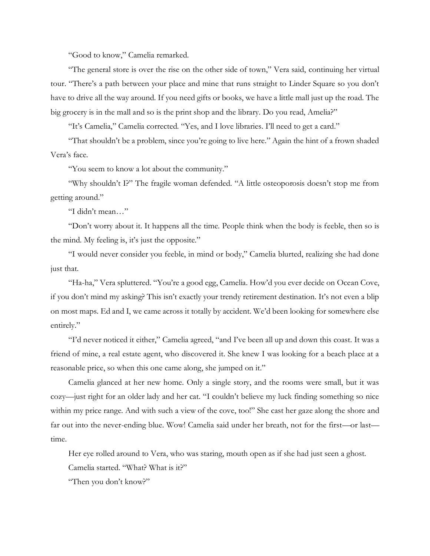"Good to know," Camelia remarked.

"The general store is over the rise on the other side of town," Vera said, continuing her virtual tour. "There's a path between your place and mine that runs straight to Linder Square so you don't have to drive all the way around. If you need gifts or books, we have a little mall just up the road. The big grocery is in the mall and so is the print shop and the library. Do you read, Amelia?"

"It's Camelia," Camelia corrected. "Yes, and I love libraries. I'll need to get a card."

"That shouldn't be a problem, since you're going to live here." Again the hint of a frown shaded Vera's face.

"You seem to know a lot about the community."

"Why shouldn't I?" The fragile woman defended. "A little osteoporosis doesn't stop me from getting around."

"I didn't mean…"

"Don't worry about it. It happens all the time. People think when the body is feeble, then so is the mind. My feeling is, it's just the opposite."

"I would never consider you feeble, in mind or body," Camelia blurted, realizing she had done just that.

"Ha-ha," Vera spluttered. "You're a good egg, Camelia. How'd you ever decide on Ocean Cove, if you don't mind my asking? This isn't exactly your trendy retirement destination. It's not even a blip on most maps. Ed and I, we came across it totally by accident. We'd been looking for somewhere else entirely."

"I'd never noticed it either," Camelia agreed, "and I've been all up and down this coast. It was a friend of mine, a real estate agent, who discovered it. She knew I was looking for a beach place at a reasonable price, so when this one came along, she jumped on it."

Camelia glanced at her new home. Only a single story, and the rooms were small, but it was cozy—just right for an older lady and her cat. "I couldn't believe my luck finding something so nice within my price range. And with such a view of the cove, too!" She cast her gaze along the shore and far out into the never-ending blue. Wow! Camelia said under her breath, not for the first—or last time.

Her eye rolled around to Vera, who was staring, mouth open as if she had just seen a ghost.

Camelia started. "What? What is it?"

"Then you don't know?"